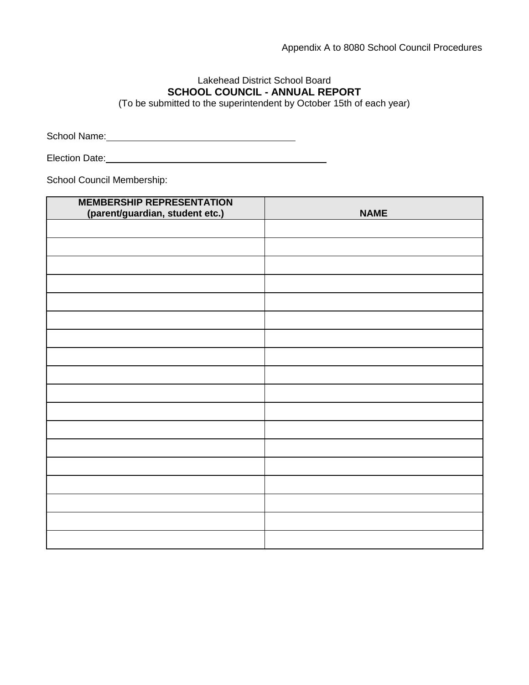## Lakehead District School Board **SCHOOL COUNCIL - ANNUAL REPORT**

(To be submitted to the superintendent by October 15th of each year)

School Name:

Election Date: Management Control of the Control of the Control of the Control of the Control of the Control of the Control of the Control of the Control of the Control of the Control of the Control of the Control of the C

School Council Membership:

| <b>MEMBERSHIP REPRESENTATION</b><br>(parent/guardian, student etc.) | <b>NAME</b> |
|---------------------------------------------------------------------|-------------|
|                                                                     |             |
|                                                                     |             |
|                                                                     |             |
|                                                                     |             |
|                                                                     |             |
|                                                                     |             |
|                                                                     |             |
|                                                                     |             |
|                                                                     |             |
|                                                                     |             |
|                                                                     |             |
|                                                                     |             |
|                                                                     |             |
|                                                                     |             |
|                                                                     |             |
|                                                                     |             |
|                                                                     |             |
|                                                                     |             |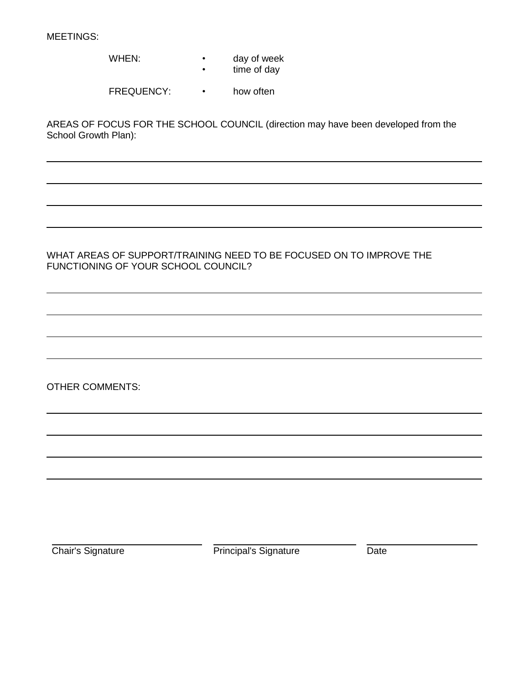MEETINGS:

- WHEN: day of week
	- time of day

FREQUENCY: • how often

AREAS OF FOCUS FOR THE SCHOOL COUNCIL (direction may have been developed from the School Growth Plan):

### WHAT AREAS OF SUPPORT/TRAINING NEED TO BE FOCUSED ON TO IMPROVE THE FUNCTIONING OF YOUR SCHOOL COUNCIL?

OTHER COMMENTS:

Chair's Signature **Date** Principal's Signature Date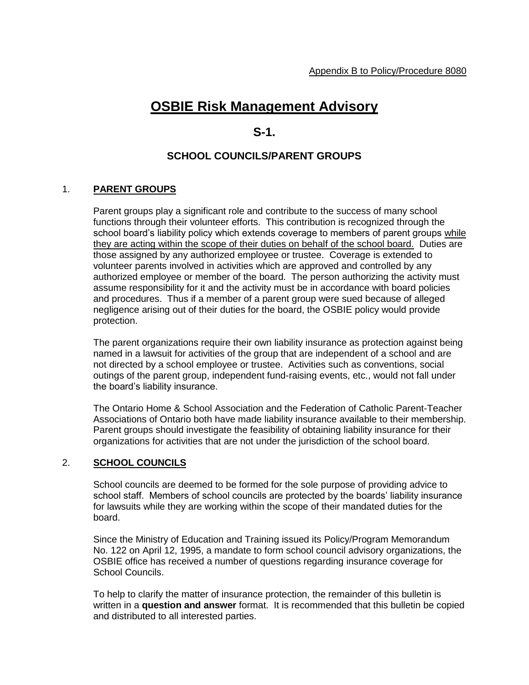# **OSBIE Risk Management Advisory**

## **S-1.**

### **SCHOOL COUNCILS/PARENT GROUPS**

#### 1. **PARENT GROUPS**

Parent groups play a significant role and contribute to the success of many school functions through their volunteer efforts. This contribution is recognized through the school board's liability policy which extends coverage to members of parent groups while they are acting within the scope of their duties on behalf of the school board. Duties are those assigned by any authorized employee or trustee. Coverage is extended to volunteer parents involved in activities which are approved and controlled by any authorized employee or member of the board. The person authorizing the activity must assume responsibility for it and the activity must be in accordance with board policies and procedures. Thus if a member of a parent group were sued because of alleged negligence arising out of their duties for the board, the OSBIE policy would provide protection.

The parent organizations require their own liability insurance as protection against being named in a lawsuit for activities of the group that are independent of a school and are not directed by a school employee or trustee. Activities such as conventions, social outings of the parent group, independent fund-raising events, etc., would not fall under the board's liability insurance.

The Ontario Home & School Association and the Federation of Catholic Parent-Teacher Associations of Ontario both have made liability insurance available to their membership. Parent groups should investigate the feasibility of obtaining liability insurance for their organizations for activities that are not under the jurisdiction of the school board.

#### 2. **SCHOOL COUNCILS**

School councils are deemed to be formed for the sole purpose of providing advice to school staff. Members of school councils are protected by the boards' liability insurance for lawsuits while they are working within the scope of their mandated duties for the board.

Since the Ministry of Education and Training issued its Policy/Program Memorandum No. 122 on April 12, 1995, a mandate to form school council advisory organizations, the OSBIE office has received a number of questions regarding insurance coverage for School Councils.

To help to clarify the matter of insurance protection, the remainder of this bulletin is written in a **question and answer** format. It is recommended that this bulletin be copied and distributed to all interested parties.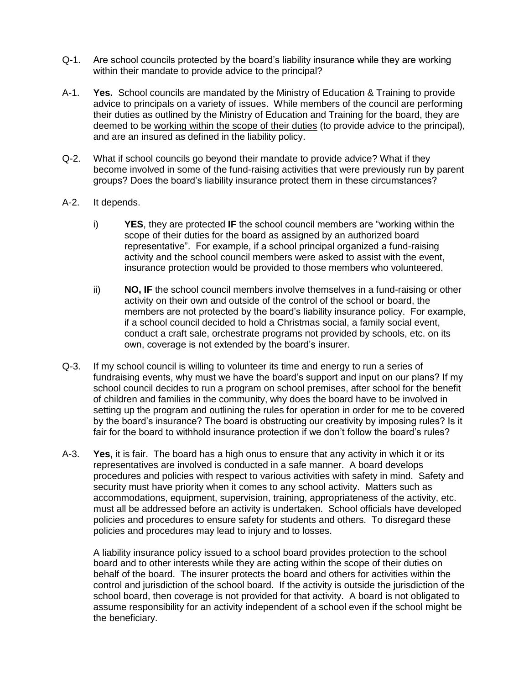- Q-1. Are school councils protected by the board's liability insurance while they are working within their mandate to provide advice to the principal?
- A-1. **Yes.** School councils are mandated by the Ministry of Education & Training to provide advice to principals on a variety of issues. While members of the council are performing their duties as outlined by the Ministry of Education and Training for the board, they are deemed to be working within the scope of their duties (to provide advice to the principal), and are an insured as defined in the liability policy.
- Q-2. What if school councils go beyond their mandate to provide advice? What if they become involved in some of the fund-raising activities that were previously run by parent groups? Does the board's liability insurance protect them in these circumstances?
- A-2. It depends.
	- i) **YES**, they are protected **IF** the school council members are "working within the scope of their duties for the board as assigned by an authorized board representative". For example, if a school principal organized a fund-raising activity and the school council members were asked to assist with the event, insurance protection would be provided to those members who volunteered.
	- ii) **NO, IF** the school council members involve themselves in a fund-raising or other activity on their own and outside of the control of the school or board, the members are not protected by the board's liability insurance policy. For example, if a school council decided to hold a Christmas social, a family social event, conduct a craft sale, orchestrate programs not provided by schools, etc. on its own, coverage is not extended by the board's insurer.
- Q-3. If my school council is willing to volunteer its time and energy to run a series of fundraising events, why must we have the board's support and input on our plans? If my school council decides to run a program on school premises, after school for the benefit of children and families in the community, why does the board have to be involved in setting up the program and outlining the rules for operation in order for me to be covered by the board's insurance? The board is obstructing our creativity by imposing rules? Is it fair for the board to withhold insurance protection if we don't follow the board's rules?
- A-3. **Yes,** it is fair. The board has a high onus to ensure that any activity in which it or its representatives are involved is conducted in a safe manner. A board develops procedures and policies with respect to various activities with safety in mind. Safety and security must have priority when it comes to any school activity. Matters such as accommodations, equipment, supervision, training, appropriateness of the activity, etc. must all be addressed before an activity is undertaken. School officials have developed policies and procedures to ensure safety for students and others. To disregard these policies and procedures may lead to injury and to losses.

A liability insurance policy issued to a school board provides protection to the school board and to other interests while they are acting within the scope of their duties on behalf of the board. The insurer protects the board and others for activities within the control and jurisdiction of the school board. If the activity is outside the jurisdiction of the school board, then coverage is not provided for that activity. A board is not obligated to assume responsibility for an activity independent of a school even if the school might be the beneficiary.